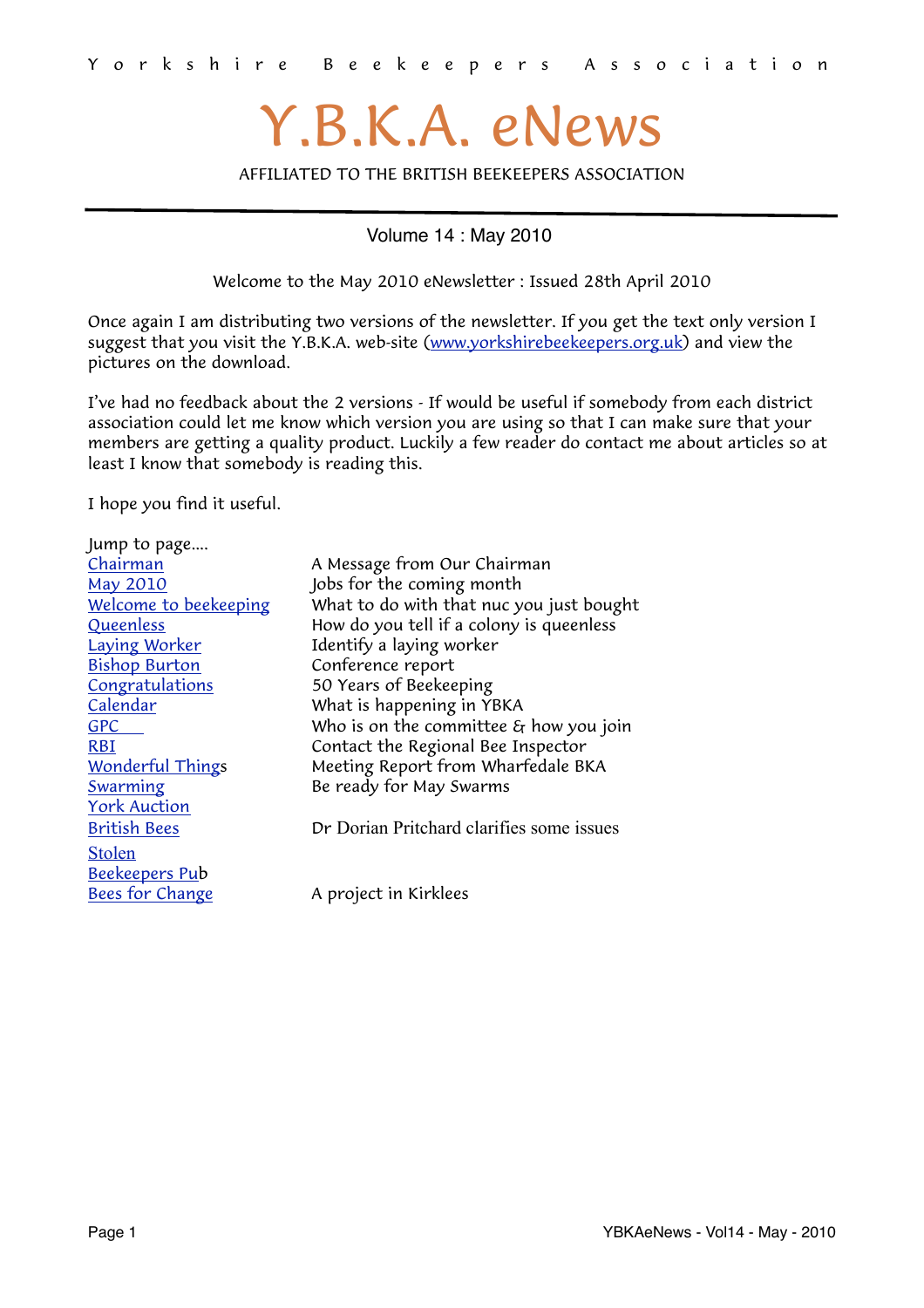# Y.B.K.A. eNews

AFFILIATED TO THE BRITISH BEEKEEPERS ASSOCIATION

Volume 14 : May 2010

<span id="page-0-0"></span>Welcome to the May 2010 eNewsletter : Issued 28th April 2010

Once again I am distributing two versions of the newsletter. If you get the text only version I suggest that you visit the Y.B.K.A. web-site [\(www.yorkshirebeekeepers.org.uk\)](http://www.yorkshirebeekeepers.org.uk) and view the pictures on the download.

I've had no feedback about the 2 versions - If would be useful if somebody from each district association could let me know which version you are using so that I can make sure that your members are getting a quality product. Luckily a few reader do contact me about articles so at least I know that somebody is reading this.

I hope you find it useful.

| Jump to page            |                                                      |  |
|-------------------------|------------------------------------------------------|--|
| Chairman                | A Message from Our Chairman                          |  |
| <b>May 2010</b>         | Jobs for the coming month                            |  |
| Welcome to beekeeping   | What to do with that nuc you just bought             |  |
| Queenless               | How do you tell if a colony is queenless             |  |
| <b>Laying Worker</b>    | Identify a laying worker                             |  |
| <b>Bishop Burton</b>    | Conference report                                    |  |
| Congratulations         | 50 Years of Beekeeping                               |  |
| Calendar                | What is happening in YBKA                            |  |
| <b>GPC</b>              | Who is on the committee $\varepsilon_f$ how you join |  |
| <b>RBI</b>              | Contact the Regional Bee Inspector                   |  |
| <b>Wonderful Things</b> | Meeting Report from Wharfedale BKA                   |  |
| Swarming                | Be ready for May Swarms                              |  |
| <b>York Auction</b>     |                                                      |  |
| <b>British Bees</b>     | Dr Dorian Pritchard clarifies some issues            |  |
| <b>Stolen</b>           |                                                      |  |
| Beekeepers Pub          |                                                      |  |
| Bees for Change         | A project in Kirklees                                |  |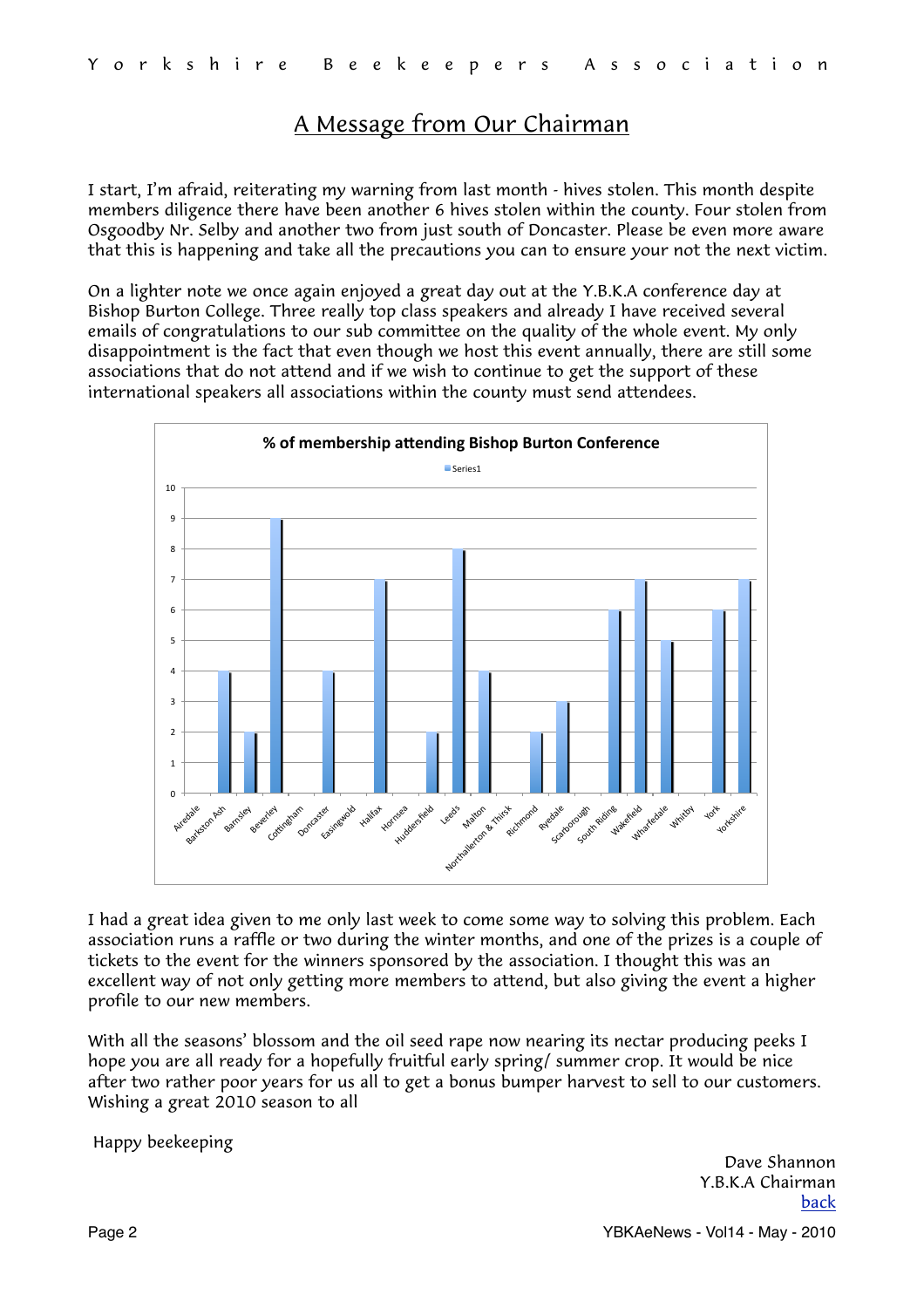# <span id="page-1-0"></span>A Message from Our Chairman

I start, I'm afraid, reiterating my warning from last month - hives stolen. This month despite members diligence there have been another 6 hives stolen within the county. Four stolen from Osgoodby Nr. Selby and another two from just south of Doncaster. Please be even more aware that this is happening and take all the precautions you can to ensure your not the next victim.

On a lighter note we once again enjoyed a great day out at the Y.B.K.A conference day at Bishop Burton College. Three really top class speakers and already I have received several emails of congratulations to our sub committee on the quality of the whole event. My only disappointment is the fact that even though we host this event annually, there are still some associations that do not attend and if we wish to continue to get the support of these international speakers all associations within the county must send attendees.



I had a great idea given to me only last week to come some way to solving this problem. Each association runs a raffle or two during the winter months, and one of the prizes is a couple of tickets to the event for the winners sponsored by the association. I thought this was an excellent way of not only getting more members to attend, but also giving the event a higher profile to our new members.

With all the seasons' blossom and the oil seed rape now nearing its nectar producing peeks I hope you are all ready for a hopefully fruitful early spring/ summer crop. It would be nice after two rather poor years for us all to get a bonus bumper harvest to sell to our customers. Wishing a great 2010 season to all

Happy beekeeping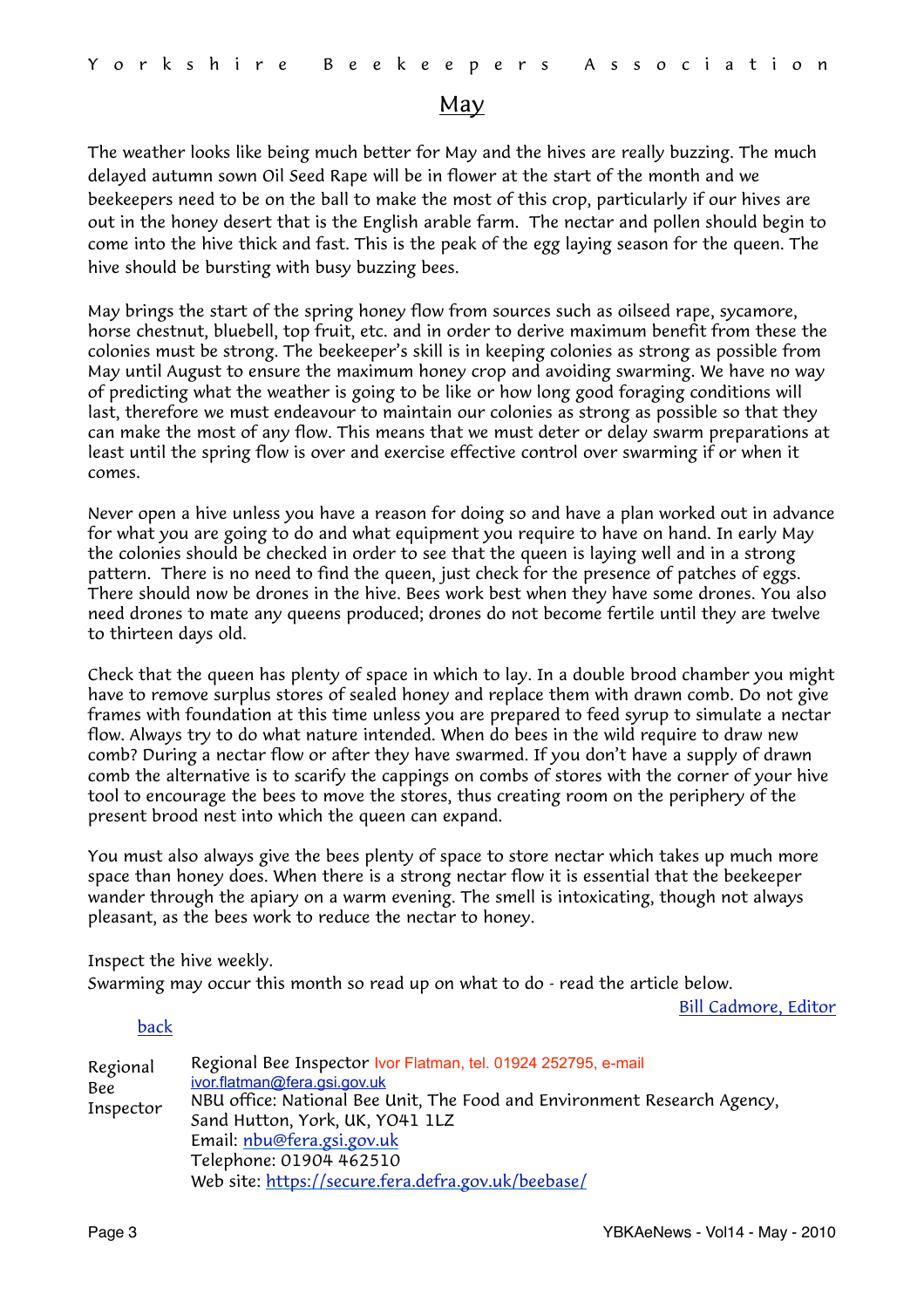### <span id="page-2-0"></span>May

The weather looks like being much better for May and the hives are really buzzing. The much delayed autumn sown Oil Seed Rape will be in flower at the start of the month and we beekeepers need to be on the ball to make the most of this crop, particularly if our hives are out in the honey desert that is the English arable farm. The nectar and pollen should begin to come into the hive thick and fast. This is the peak of the egg laying season for the queen. The hive should be bursting with busy buzzing bees.

May brings the start of the spring honey flow from sources such as oilseed rape, sycamore, horse chestnut, bluebell, top fruit, etc. and in order to derive maximum benefit from these the colonies must be strong. The beekeeper's skill is in keeping colonies as strong as possible from May until August to ensure the maximum honey crop and avoiding swarming. We have no way of predicting what the weather is going to be like or how long good foraging conditions will last, therefore we must endeavour to maintain our colonies as strong as possible so that they can make the most of any flow. This means that we must deter or delay swarm preparations at least until the spring flow is over and exercise effective control over swarming if or when it comes.

Never open a hive unless you have a reason for doing so and have a plan worked out in advance for what you are going to do and what equipment you require to have on hand. In early May the colonies should be checked in order to see that the queen is laying well and in a strong pattern. There is no need to find the queen, just check for the presence of patches of eggs. There should now be drones in the hive. Bees work best when they have some drones. You also need drones to mate any queens produced; drones do not become fertile until they are twelve to thirteen days old.

Check that the queen has plenty of space in which to lay. In a double brood chamber you might have to remove surplus stores of sealed honey and replace them with drawn comb. Do not give frames with foundation at this time unless you are prepared to feed syrup to simulate a nectar flow. Always try to do what nature intended. When do bees in the wild require to draw new comb? During a nectar flow or after they have swarmed. If you don't have a supply of drawn comb the alternative is to scarify the cappings on combs of stores with the corner of your hive tool to encourage the bees to move the stores, thus creating room on the periphery of the present brood nest into which the queen can expand.

You must also always give the bees plenty of space to store nectar which takes up much more space than honey does. When there is a strong nectar flow it is essential that the beekeeper wander through the apiary on a warm evening. The smell is intoxicating, though not always pleasant, as the bees work to reduce the nectar to honey.

Inspect the hive weekly.

Swarming may occur this month so read up on what to do - read the article below.

[Bill Cadmore, Editor](mailto:ybkanews@ntlworld.com?subject=eNewsletter)

<span id="page-2-1"></span>

| Regional<br>Bee<br>Inspector | Regional Bee Inspector Ivor Flatman, tel. 01924 252795, e-mail<br>ivor.flatman@fera.gsi.gov.uk<br>NBU office: National Bee Unit, The Food and Environment Research Agency,<br>Sand Hutton, York, UK, YO41 1LZ<br>Email: nbu@fera.gsi.gov.uk<br>Telephone: 01904 462510 |
|------------------------------|------------------------------------------------------------------------------------------------------------------------------------------------------------------------------------------------------------------------------------------------------------------------|
|                              | Web site: https://secure.fera.defra.gov.uk/beebase/                                                                                                                                                                                                                    |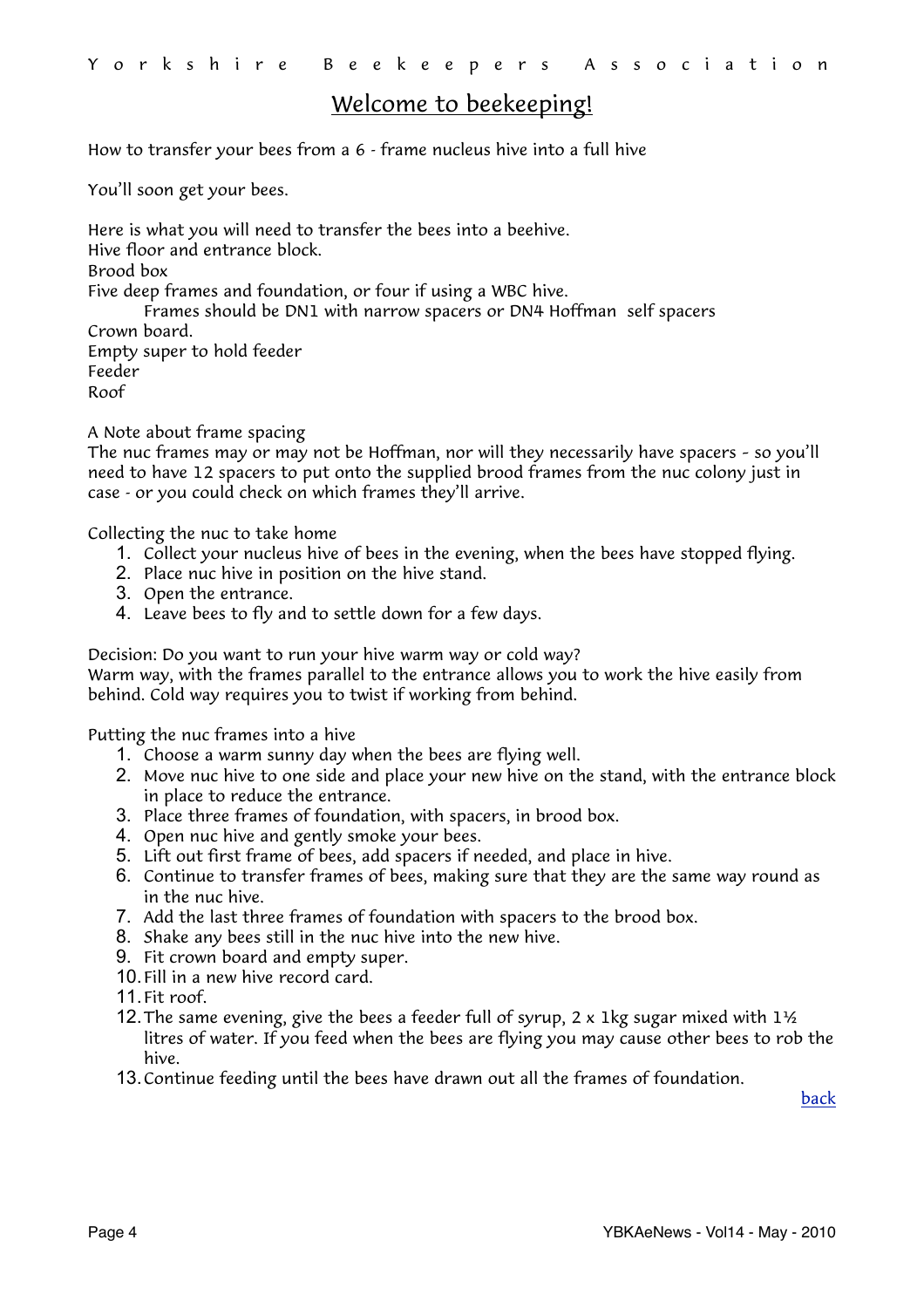## <span id="page-3-0"></span>Welcome to beekeeping!

How to transfer your bees from a 6 - frame nucleus hive into a full hive

You'll soon get your bees.

Here is what you will need to transfer the bees into a beehive. Hive floor and entrance block. Brood box Five deep frames and foundation, or four if using a WBC hive. Frames should be DN1 with narrow spacers or DN4 Hoffman self spacers Crown board. Empty super to hold feeder Feeder Roof

A Note about frame spacing

The nuc frames may or may not be Hoffman, nor will they necessarily have spacers – so you'll need to have 12 spacers to put onto the supplied brood frames from the nuc colony just in case - or you could check on which frames they'll arrive.

Collecting the nuc to take home

- 1. Collect your nucleus hive of bees in the evening, when the bees have stopped flying.
- 2. Place nuc hive in position on the hive stand.
- 3. Open the entrance.
- 4. Leave bees to fly and to settle down for a few days.

Decision: Do you want to run your hive warm way or cold way? Warm way, with the frames parallel to the entrance allows you to work the hive easily from

behind. Cold way requires you to twist if working from behind.

Putting the nuc frames into a hive

- 1. Choose a warm sunny day when the bees are flying well.
- 2. Move nuc hive to one side and place your new hive on the stand, with the entrance block in place to reduce the entrance.
- 3. Place three frames of foundation, with spacers, in brood box.
- 4. Open nuc hive and gently smoke your bees.
- 5. Lift out first frame of bees, add spacers if needed, and place in hive.
- 6. Continue to transfer frames of bees, making sure that they are the same way round as in the nuc hive.
- 7. Add the last three frames of foundation with spacers to the brood box.
- 8. Shake any bees still in the nuc hive into the new hive.
- 9. Fit crown board and empty super.
- 10.Fill in a new hive record card.
- 11.Fit roof.
- 12. The same evening, give the bees a feeder full of syrup, 2 x 1 kg sugar mixed with  $1\frac{1}{2}$ litres of water. If you feed when the bees are flying you may cause other bees to rob the hive.
- 13.Continue feeding until the bees have drawn out all the frames of foundation.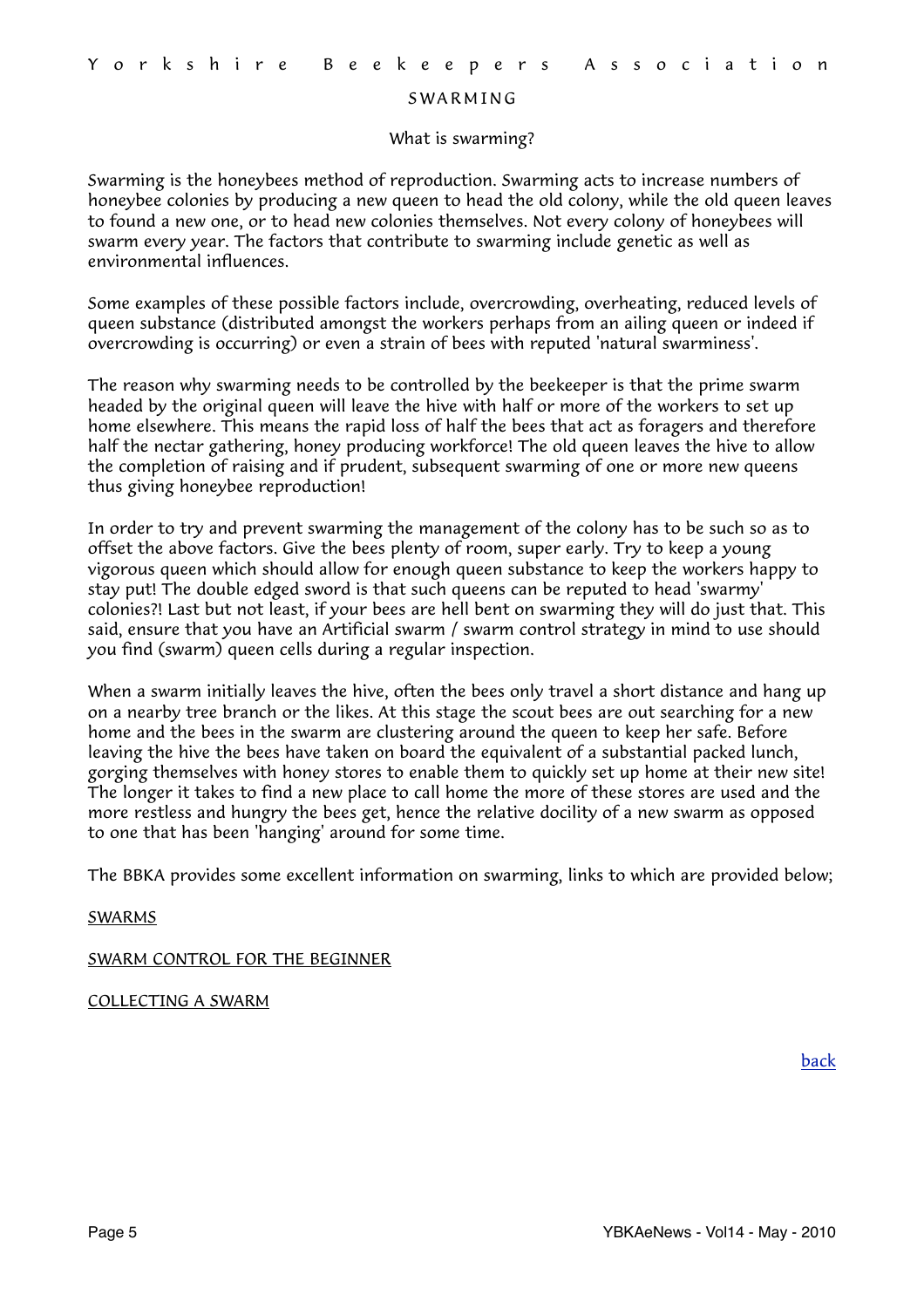#### <span id="page-4-0"></span>**SWARMING**

#### What is swarming?

Swarming is the honeybees method of reproduction. Swarming acts to increase numbers of honeybee colonies by producing a new queen to head the old colony, while the old queen leaves to found a new one, or to head new colonies themselves. Not every colony of honeybees will swarm every year. The factors that contribute to swarming include genetic as well as environmental influences.

Some examples of these possible factors include, overcrowding, overheating, reduced levels of queen substance (distributed amongst the workers perhaps from an ailing queen or indeed if overcrowding is occurring) or even a strain of bees with reputed 'natural swarminess'.

The reason why swarming needs to be controlled by the beekeeper is that the prime swarm headed by the original queen will leave the hive with half or more of the workers to set up home elsewhere. This means the rapid loss of half the bees that act as foragers and therefore half the nectar gathering, honey producing workforce! The old queen leaves the hive to allow the completion of raising and if prudent, subsequent swarming of one or more new queens thus giving honeybee reproduction!

In order to try and prevent swarming the management of the colony has to be such so as to offset the above factors. Give the bees plenty of room, super early. Try to keep a young vigorous queen which should allow for enough queen substance to keep the workers happy to stay put! The double edged sword is that such queens can be reputed to head 'swarmy' colonies?! Last but not least, if your bees are hell bent on swarming they will do just that. This said, ensure that you have an Artificial swarm / swarm control strategy in mind to use should you find (swarm) queen cells during a regular inspection.

When a swarm initially leaves the hive, often the bees only travel a short distance and hang up on a nearby tree branch or the likes. At this stage the scout bees are out searching for a new home and the bees in the swarm are clustering around the queen to keep her safe. Before leaving the hive the bees have taken on board the equivalent of a substantial packed lunch, gorging themselves with honey stores to enable them to quickly set up home at their new site! The longer it takes to find a new place to call home the more of these stores are used and the more restless and hungry the bees get, hence the relative docility of a new swarm as opposed to one that has been 'hanging' around for some time.

The BBKA provides some excellent information on swarming, links to which are provided below;

#### [SWARMS](http://www.britishbee.org.uk/files/swarms_leaflet-R3.pdf)

#### [SWARM CONTROL FOR THE BEGINNER](http://www.britishbee.org.uk/files/swarmcont_B3.PDF)

#### [COLLECTING A SWARM](http://www.britishbee.org.uk/files/colswarm_B4.PDF)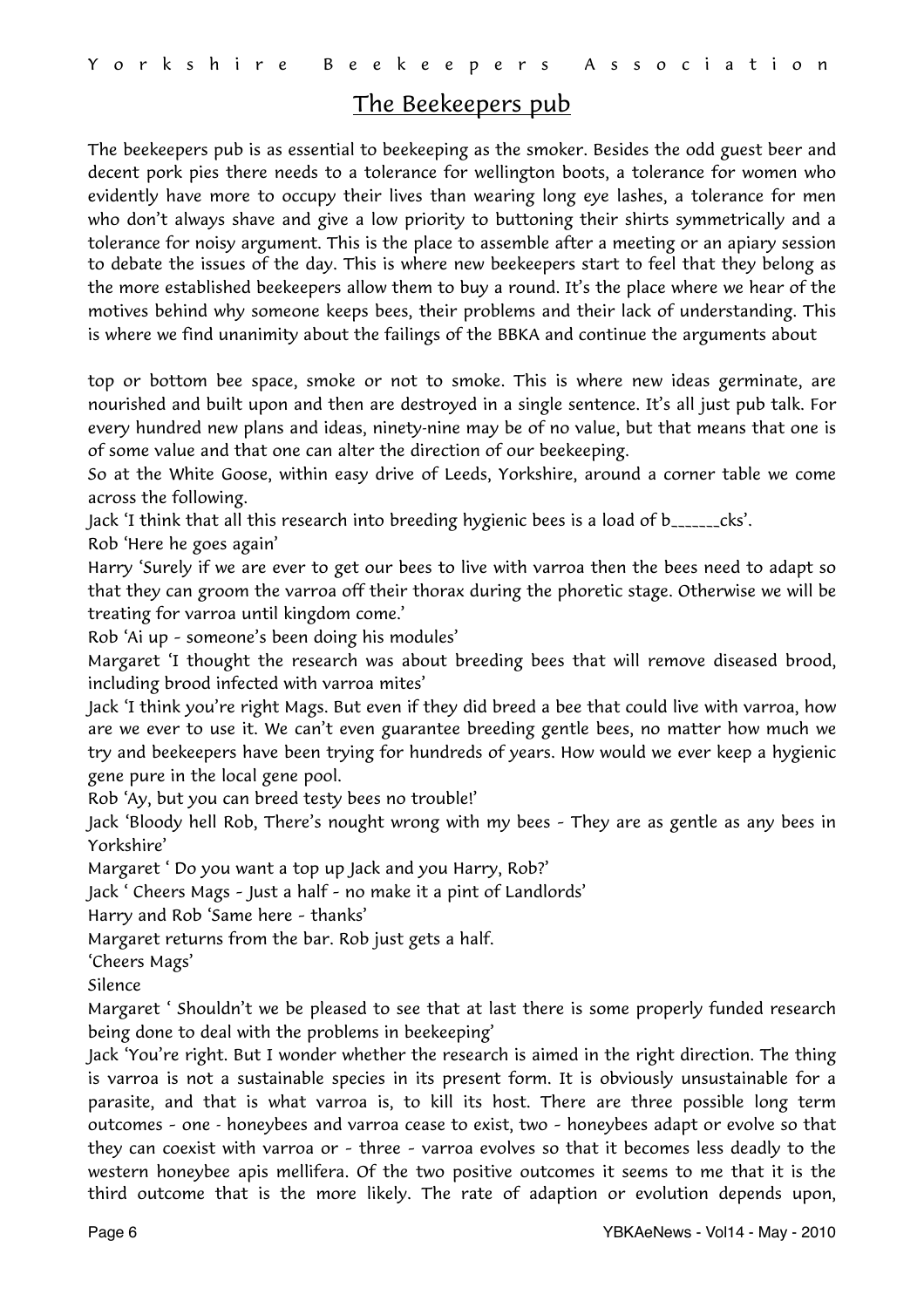## <span id="page-5-0"></span>The Beekeepers pub

The beekeepers pub is as essential to beekeeping as the smoker. Besides the odd guest beer and decent pork pies there needs to a tolerance for wellington boots, a tolerance for women who evidently have more to occupy their lives than wearing long eye lashes, a tolerance for men who don't always shave and give a low priority to buttoning their shirts symmetrically and a tolerance for noisy argument. This is the place to assemble after a meeting or an apiary session to debate the issues of the day. This is where new beekeepers start to feel that they belong as the more established beekeepers allow them to buy a round. It's the place where we hear of the motives behind why someone keeps bees, their problems and their lack of understanding. This is where we find unanimity about the failings of the BBKA and continue the arguments about

top or bottom bee space, smoke or not to smoke. This is where new ideas germinate, are nourished and built upon and then are destroyed in a single sentence. It's all just pub talk. For every hundred new plans and ideas, ninety-nine may be of no value, but that means that one is of some value and that one can alter the direction of our beekeeping.

So at the White Goose, within easy drive of Leeds, Yorkshire, around a corner table we come across the following.

Jack 'I think that all this research into breeding hygienic bees is a load of b\_\_\_\_\_\_\_cks'.

Rob 'Here he goes again'

Harry 'Surely if we are ever to get our bees to live with varroa then the bees need to adapt so that they can groom the varroa off their thorax during the phoretic stage. Otherwise we will be treating for varroa until kingdom come.'

Rob 'Ai up – someone's been doing his modules'

Margaret 'I thought the research was about breeding bees that will remove diseased brood, including brood infected with varroa mites'

Jack 'I think you're right Mags. But even if they did breed a bee that could live with varroa, how are we ever to use it. We can't even guarantee breeding gentle bees, no matter how much we try and beekeepers have been trying for hundreds of years. How would we ever keep a hygienic gene pure in the local gene pool.

Rob 'Ay, but you can breed testy bees no trouble!'

Jack 'Bloody hell Rob, There's nought wrong with my bees – They are as gentle as any bees in Yorkshire'

Margaret ' Do you want a top up Jack and you Harry, Rob?'

Jack ' Cheers Mags – Just a half – no make it a pint of Landlords'

Harry and Rob 'Same here – thanks'

Margaret returns from the bar. Rob just gets a half.

'Cheers Mags'

Silence

Margaret ' Shouldn't we be pleased to see that at last there is some properly funded research being done to deal with the problems in beekeeping'

Jack 'You're right. But I wonder whether the research is aimed in the right direction. The thing is varroa is not a sustainable species in its present form. It is obviously unsustainable for a parasite, and that is what varroa is, to kill its host. There are three possible long term outcomes – one - honeybees and varroa cease to exist, two – honeybees adapt or evolve so that they can coexist with varroa or – three – varroa evolves so that it becomes less deadly to the western honeybee apis mellifera. Of the two positive outcomes it seems to me that it is the third outcome that is the more likely. The rate of adaption or evolution depends upon,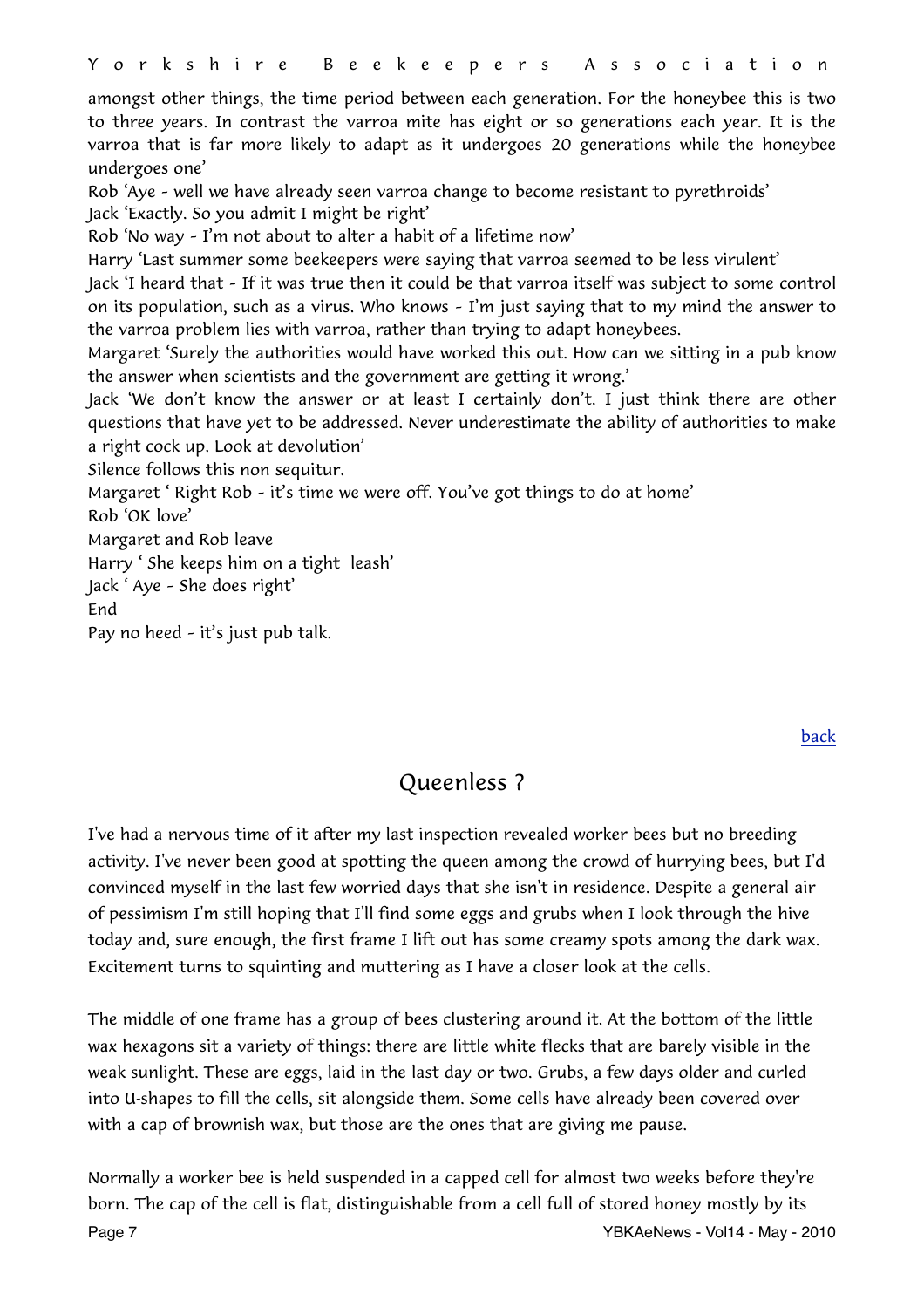amongst other things, the time period between each generation. For the honeybee this is two to three years. In contrast the varroa mite has eight or so generations each year. It is the varroa that is far more likely to adapt as it undergoes 20 generations while the honeybee undergoes one'

Rob 'Aye – well we have already seen varroa change to become resistant to pyrethroids' Jack 'Exactly. So you admit I might be right'

Rob 'No way – I'm not about to alter a habit of a lifetime now'

Harry 'Last summer some beekeepers were saying that varroa seemed to be less virulent'

Jack 'I heard that – If it was true then it could be that varroa itself was subject to some control on its population, such as a virus. Who knows – I'm just saying that to my mind the answer to the varroa problem lies with varroa, rather than trying to adapt honeybees.

Margaret 'Surely the authorities would have worked this out. How can we sitting in a pub know the answer when scientists and the government are getting it wrong.'

Jack 'We don't know the answer or at least I certainly don't. I just think there are other questions that have yet to be addressed. Never underestimate the ability of authorities to make a right cock up. Look at devolution'

Silence follows this non sequitur.

Margaret ' Right Rob – it's time we were off. You've got things to do at home' Rob 'OK love'

Margaret and Rob leave

Harry ' She keeps him on a tight leash'

Jack ' Aye – She does right'

End

Pay no heed – it's just pub talk.

[back](#page-0-0)

# <span id="page-6-0"></span>Queenless ?

I've had a nervous time of it after my last inspection revealed worker bees but no breeding activity. I've never been good at spotting the queen among the crowd of hurrying bees, but I'd convinced myself in the last few worried days that she isn't in residence. Despite a general air of pessimism I'm still hoping that I'll find some eggs and grubs when I look through the hive today and, sure enough, the first frame I lift out has some creamy spots among the dark wax. Excitement turns to squinting and muttering as I have a closer look at the cells.

The middle of one frame has a group of bees clustering around it. At the bottom of the little wax hexagons sit a variety of things: there are little white flecks that are barely visible in the weak sunlight. These are eggs, laid in the last day or two. Grubs, a few days older and curled into U-shapes to fill the cells, sit alongside them. Some cells have already been covered over with a cap of brownish wax, but those are the ones that are giving me pause.

Normally a worker bee is held suspended in a capped cell for almost two weeks before they're born. The cap of the cell is flat, distinguishable from a cell full of stored honey mostly by its Page 7 No. 2010 12:33 No. 2010 12:34 No. 2010 12:34 No. 2010 12:34 No. 2010 12:34 No. 2010 12:34 No. 2010 12:34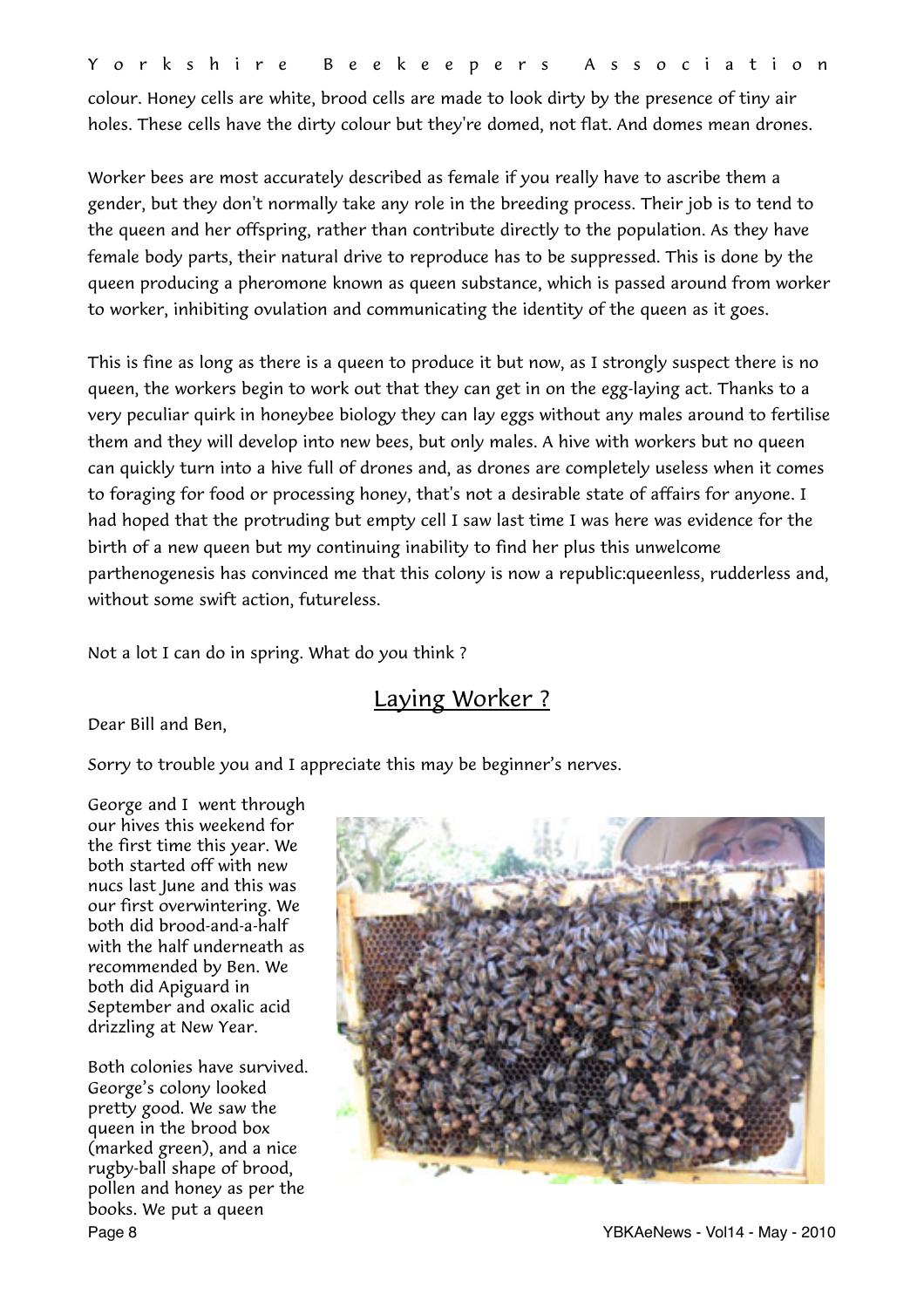colour. Honey cells are white, brood cells are made to look dirty by the presence of tiny air holes. These cells have the dirty colour but they're domed, not flat. And domes mean drones.

Worker bees are most accurately described as female if you really have to ascribe them a gender, but they don't normally take any role in the breeding process. Their job is to tend to the queen and her offspring, rather than contribute directly to the population. As they have female body parts, their natural drive to reproduce has to be suppressed. This is done by the queen producing a pheromone known as queen substance, which is passed around from worker to worker, inhibiting ovulation and communicating the identity of the queen as it goes.

This is fine as long as there is a queen to produce it but now, as I strongly suspect there is no queen, the workers begin to work out that they can get in on the egg-laying act. Thanks to a very peculiar quirk in honeybee biology they can lay eggs without any males around to fertilise them and they will develop into new bees, but only males. A hive with workers but no queen can quickly turn into a hive full of drones and, as drones are completely useless when it comes to foraging for food or processing honey, that's not a desirable state of affairs for anyone. I had hoped that the protruding but empty cell I saw last time I was here was evidence for the birth of a new queen but my continuing inability to find her plus this unwelcome parthenogenesis has convinced me that this colony is now a republic:queenless, rudderless and, without some swift action, futureless.

Not a lot I can do in spring. What do you think ?

# <span id="page-7-0"></span>Laying Worker ?

Dear Bill and Ben,

Sorry to trouble you and I appreciate this may be beginner's nerves.

George and I went through our hives this weekend for the first time this year. We both started off with new nucs last June and this was our first overwintering. We both did brood-and-a-half with the half underneath as recommended by Ben. We both did Apiguard in September and oxalic acid drizzling at New Year.

Both colonies have survived. George's colony looked pretty good. We saw the queen in the brood box (marked green), and a nice rugby-ball shape of brood, pollen and honey as per the books. We put a queen

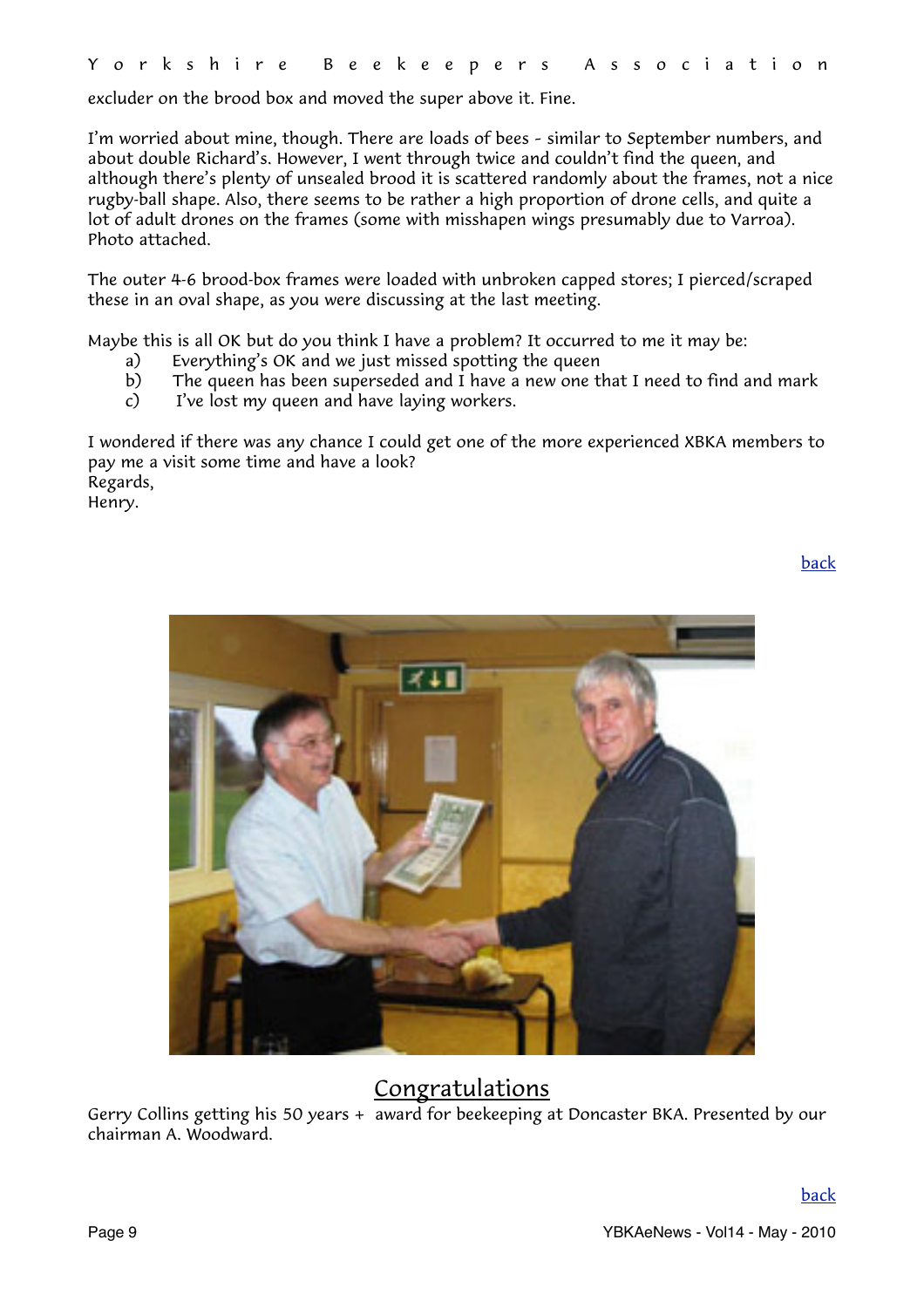excluder on the brood box and moved the super above it. Fine.

I'm worried about mine, though. There are loads of bees – similar to September numbers, and about double Richard's. However, I went through twice and couldn't find the queen, and although there's plenty of unsealed brood it is scattered randomly about the frames, not a nice rugby-ball shape. Also, there seems to be rather a high proportion of drone cells, and quite a lot of adult drones on the frames (some with misshapen wings presumably due to Varroa). Photo attached.

The outer 4-6 brood-box frames were loaded with unbroken capped stores; I pierced/scraped these in an oval shape, as you were discussing at the last meeting.

Maybe this is all OK but do you think I have a problem? It occurred to me it may be:

- a) Everything's OK and we just missed spotting the queen
- b) The queen has been superseded and I have a new one that I need to find and mark
- c) I've lost my queen and have laying workers.

I wondered if there was any chance I could get one of the more experienced XBKA members to pay me a visit some time and have a look? Regards, Henry.

[back](#page-0-0)



# <span id="page-8-0"></span>Congratulations

Gerry Collins getting his 50 years + award for beekeeping at Doncaster BKA. Presented by our chairman A. Woodward.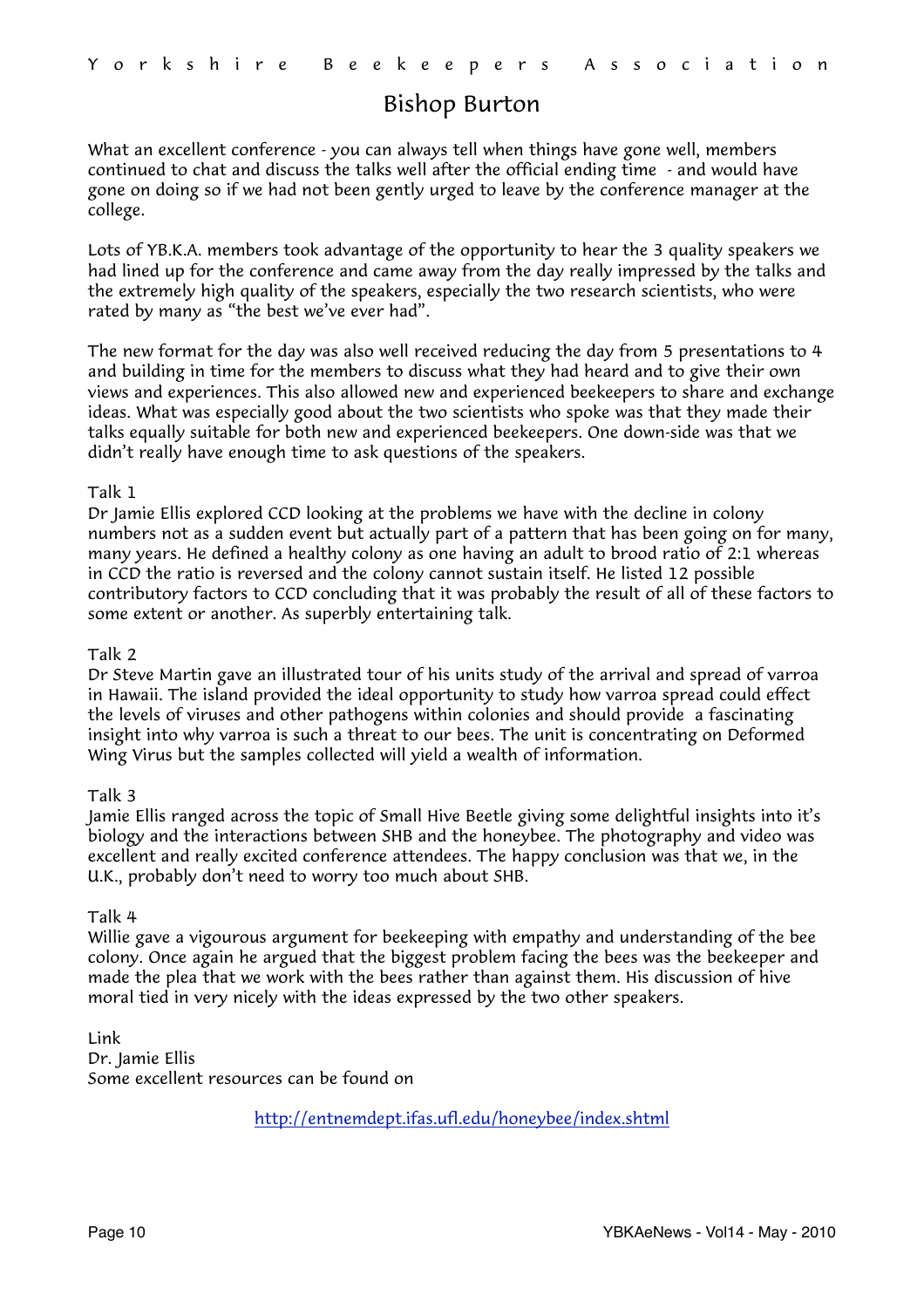# <span id="page-9-0"></span>Bishop Burton

What an excellent conference - you can always tell when things have gone well, members continued to chat and discuss the talks well after the official ending time - and would have gone on doing so if we had not been gently urged to leave by the conference manager at the college.

Lots of YB.K.A. members took advantage of the opportunity to hear the 3 quality speakers we had lined up for the conference and came away from the day really impressed by the talks and the extremely high quality of the speakers, especially the two research scientists, who were rated by many as "the best we've ever had".

The new format for the day was also well received reducing the day from 5 presentations to 4 and building in time for the members to discuss what they had heard and to give their own views and experiences. This also allowed new and experienced beekeepers to share and exchange ideas. What was especially good about the two scientists who spoke was that they made their talks equally suitable for both new and experienced beekeepers. One down-side was that we didn't really have enough time to ask questions of the speakers.

#### Talk 1

Dr Jamie Ellis explored CCD looking at the problems we have with the decline in colony numbers not as a sudden event but actually part of a pattern that has been going on for many, many years. He defined a healthy colony as one having an adult to brood ratio of 2:1 whereas in CCD the ratio is reversed and the colony cannot sustain itself. He listed 12 possible contributory factors to CCD concluding that it was probably the result of all of these factors to some extent or another. As superbly entertaining talk.

#### Talk 2

Dr Steve Martin gave an illustrated tour of his units study of the arrival and spread of varroa in Hawaii. The island provided the ideal opportunity to study how varroa spread could effect the levels of viruses and other pathogens within colonies and should provide a fascinating insight into why varroa is such a threat to our bees. The unit is concentrating on Deformed Wing Virus but the samples collected will yield a wealth of information.

#### Talk 3

Jamie Ellis ranged across the topic of Small Hive Beetle giving some delightful insights into it's biology and the interactions between SHB and the honeybee. The photography and video was excellent and really excited conference attendees. The happy conclusion was that we, in the U.K., probably don't need to worry too much about SHB.

#### Talk 4

Willie gave a vigourous argument for beekeeping with empathy and understanding of the bee colony. Once again he argued that the biggest problem facing the bees was the beekeeper and made the plea that we work with the bees rather than against them. His discussion of hive moral tied in very nicely with the ideas expressed by the two other speakers.

Link Dr. Jamie Ellis Some excellent resources can be found on

<http://entnemdept.ifas.ufl.edu/honeybee/index.shtml>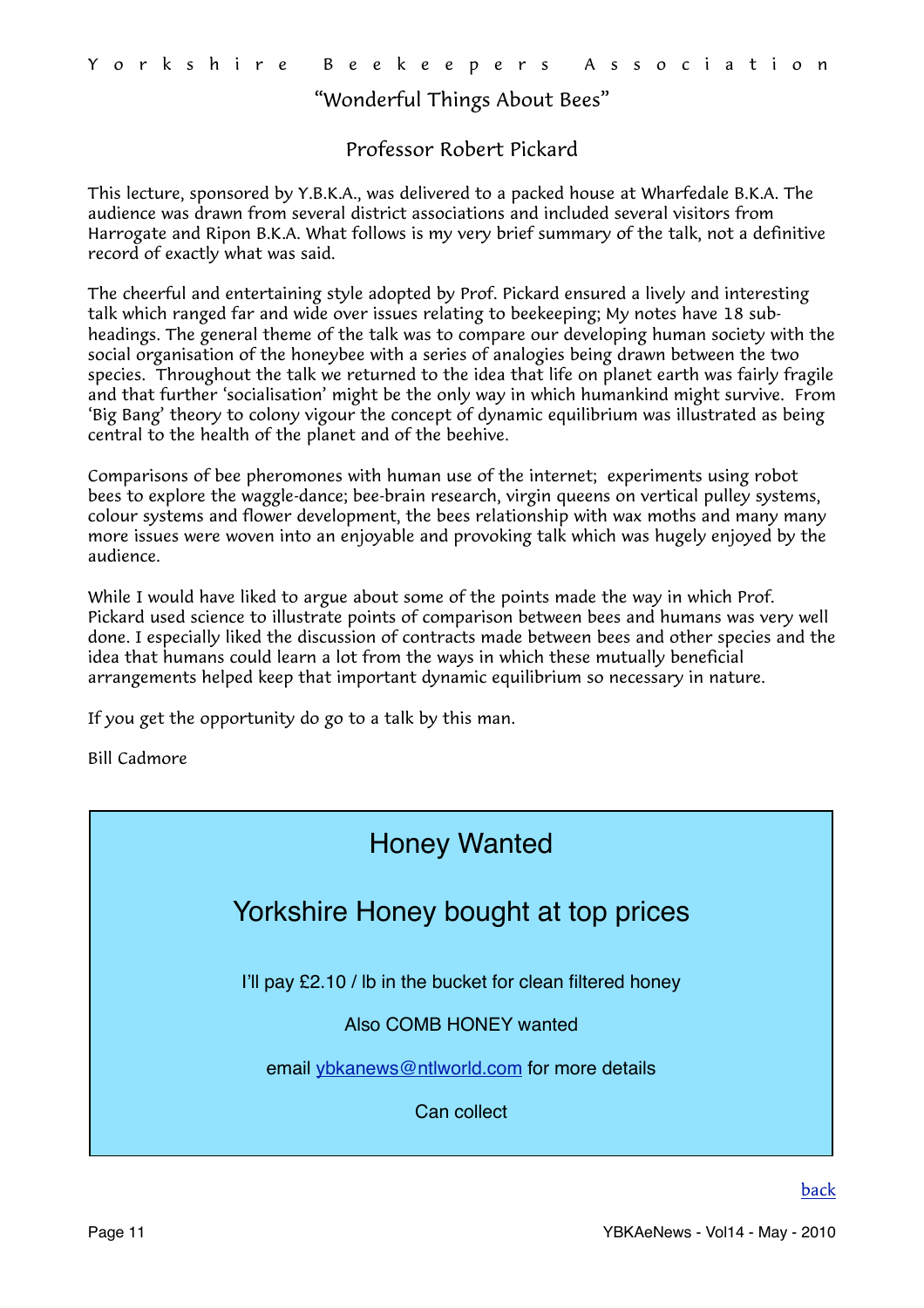## <span id="page-10-0"></span>"Wonderful Things About Bees"

### Professor Robert Pickard

This lecture, sponsored by Y.B.K.A., was delivered to a packed house at Wharfedale B.K.A. The audience was drawn from several district associations and included several visitors from Harrogate and Ripon B.K.A. What follows is my very brief summary of the talk, not a definitive record of exactly what was said.

The cheerful and entertaining style adopted by Prof. Pickard ensured a lively and interesting talk which ranged far and wide over issues relating to beekeeping; My notes have 18 subheadings. The general theme of the talk was to compare our developing human society with the social organisation of the honeybee with a series of analogies being drawn between the two species. Throughout the talk we returned to the idea that life on planet earth was fairly fragile and that further 'socialisation' might be the only way in which humankind might survive. From 'Big Bang' theory to colony vigour the concept of dynamic equilibrium was illustrated as being central to the health of the planet and of the beehive.

Comparisons of bee pheromones with human use of the internet; experiments using robot bees to explore the waggle-dance; bee-brain research, virgin queens on vertical pulley systems, colour systems and flower development, the bees relationship with wax moths and many many more issues were woven into an enjoyable and provoking talk which was hugely enjoyed by the audience.

While I would have liked to argue about some of the points made the way in which Prof. Pickard used science to illustrate points of comparison between bees and humans was very well done. I especially liked the discussion of contracts made between bees and other species and the idea that humans could learn a lot from the ways in which these mutually beneficial arrangements helped keep that important dynamic equilibrium so necessary in nature.

If you get the opportunity do go to a talk by this man.

Bill Cadmore

# Honey Wanted Yorkshire Honey bought at top prices I'll pay £2.10 / lb in the bucket for clean filtered honey Also COMB HONEY wanted email [ybkanews@ntlworld.com](mailto:idlebeekeeper@ntlworld.com) for more details Can collect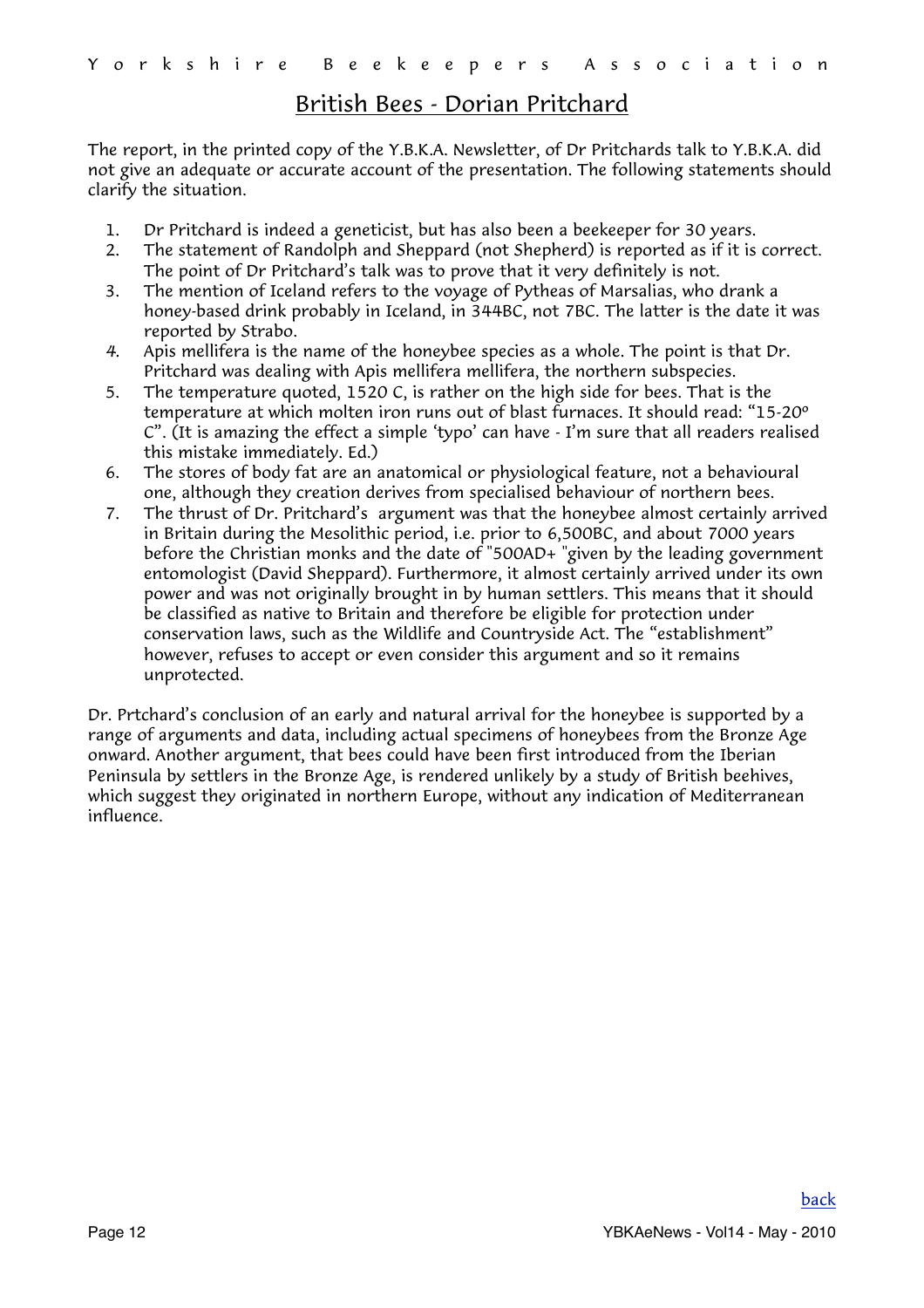# <span id="page-11-0"></span>British Bees - Dorian Pritchard

The report, in the printed copy of the Y.B.K.A. Newsletter, of Dr Pritchards talk to Y.B.K.A. did not give an adequate or accurate account of the presentation. The following statements should clarify the situation.

- 1. Dr Pritchard is indeed a geneticist, but has also been a beekeeper for 30 years.
- 2. The statement of Randolph and Sheppard (not Shepherd) is reported as if it is correct. The point of Dr Pritchard's talk was to prove that it very definitely is not.
- 3. The mention of Iceland refers to the voyage of Pytheas of Marsalias, who drank a honey-based drink probably in Iceland, in 344BC, not 7BC. The latter is the date it was reported by Strabo.
- *4.* Apis mellifera is the name of the honeybee species as a whole. The point is that Dr. Pritchard was dealing with Apis mellifera mellifera, the northern subspecies.
- 5. The temperature quoted, 1520 C, is rather on the high side for bees. That is the temperature at which molten iron runs out of blast furnaces. It should read: "15-20º C". (It is amazing the effect a simple 'typo' can have - I'm sure that all readers realised this mistake immediately. Ed.)
- 6. The stores of body fat are an anatomical or physiological feature, not a behavioural one, although they creation derives from specialised behaviour of northern bees.
- 7. The thrust of Dr. Pritchard's argument was that the honeybee almost certainly arrived in Britain during the Mesolithic period, i.e. prior to 6,500BC, and about 7000 years before the Christian monks and the date of "500AD+ "given by the leading government entomologist (David Sheppard). Furthermore, it almost certainly arrived under its own power and was not originally brought in by human settlers. This means that it should be classified as native to Britain and therefore be eligible for protection under conservation laws, such as the Wildlife and Countryside Act. The "establishment" however, refuses to accept or even consider this argument and so it remains unprotected.

Dr. Prtchard's conclusion of an early and natural arrival for the honeybee is supported by a range of arguments and data, including actual specimens of honeybees from the Bronze Age onward. Another argument, that bees could have been first introduced from the Iberian Peninsula by settlers in the Bronze Age, is rendered unlikely by a study of British beehives, which suggest they originated in northern Europe, without any indication of Mediterranean influence.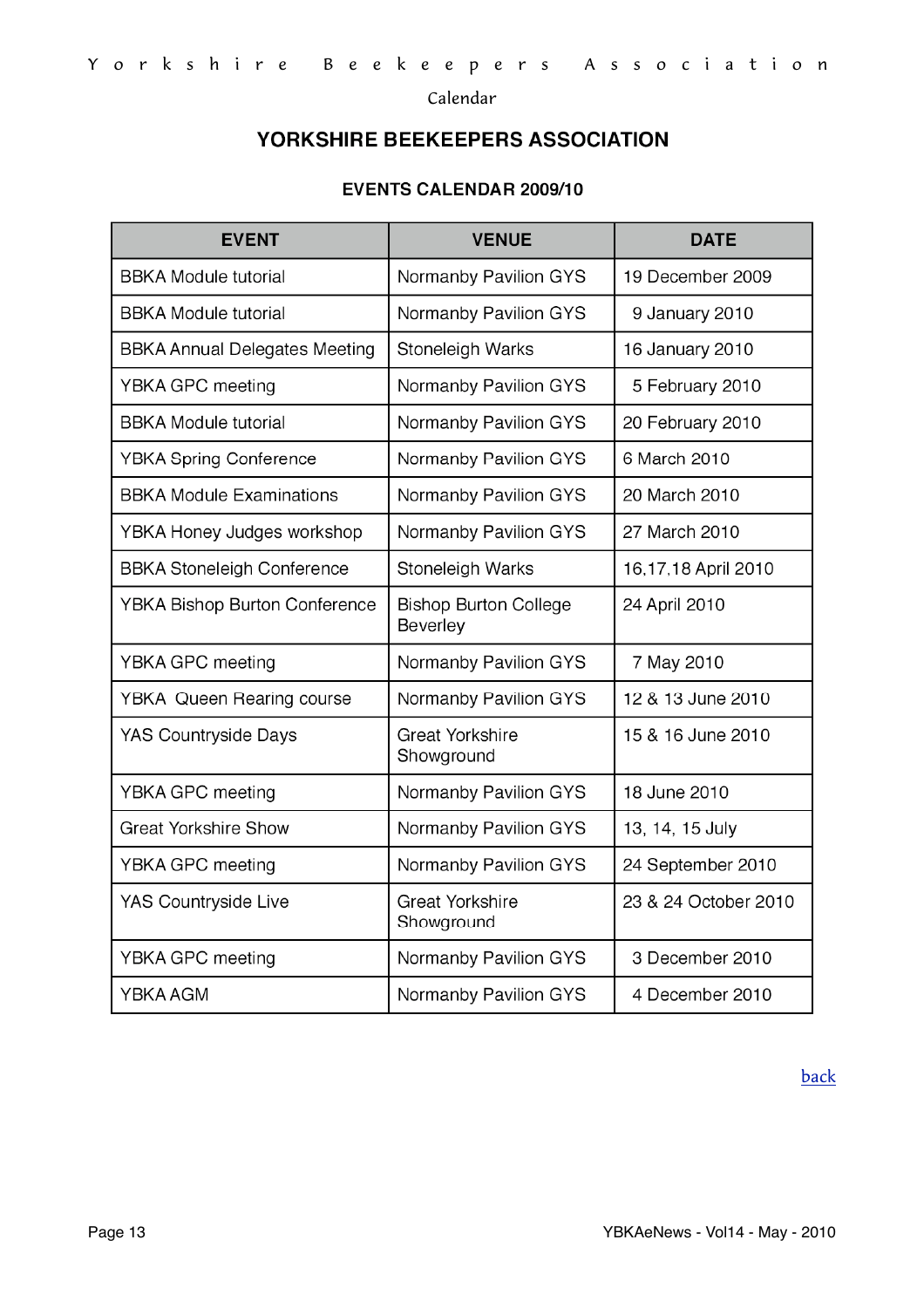<span id="page-12-0"></span>Calendar

# YORKSHIRE BEEKEEPERS ASSOCIATION

#### **EVENTS CALENDAR 2009/10**

| <b>EVENT</b>                         | <b>VENUE</b>                             | <b>DATE</b>          |
|--------------------------------------|------------------------------------------|----------------------|
| <b>BBKA Module tutorial</b>          | Normanby Pavilion GYS                    | 19 December 2009     |
| <b>BBKA Module tutorial</b>          | Normanby Pavilion GYS                    | 9 January 2010       |
| <b>BBKA Annual Delegates Meeting</b> | Stoneleigh Warks                         | 16 January 2010      |
| YBKA GPC meeting                     | Normanby Pavilion GYS                    | 5 February 2010      |
| <b>BBKA Module tutorial</b>          | Normanby Pavilion GYS                    | 20 February 2010     |
| <b>YBKA Spring Conference</b>        | Normanby Pavilion GYS                    | 6 March 2010         |
| <b>BBKA Module Examinations</b>      | Normanby Pavilion GYS                    | 20 March 2010        |
| YBKA Honey Judges workshop           | Normanby Pavilion GYS                    | 27 March 2010        |
| <b>BBKA Stoneleigh Conference</b>    | Stoneleigh Warks                         | 16,17,18 April 2010  |
| <b>YBKA Bishop Burton Conference</b> | <b>Bishop Burton College</b><br>Beverley | 24 April 2010        |
| YBKA GPC meeting                     | Normanby Pavilion GYS                    | 7 May 2010           |
| <b>YBKA Queen Rearing course</b>     | Normanby Pavilion GYS                    | 12 & 13 June 2010    |
| <b>YAS Countryside Days</b>          | <b>Great Yorkshire</b><br>Showground     | 15 & 16 June 2010    |
| YBKA GPC meeting                     | Normanby Pavilion GYS                    | 18 June 2010         |
| <b>Great Yorkshire Show</b>          | Normanby Pavilion GYS                    | 13, 14, 15 July      |
| YBKA GPC meeting                     | Normanby Pavilion GYS                    | 24 September 2010    |
| YAS Countryside Live                 | <b>Great Yorkshire</b><br>Showground     | 23 & 24 October 2010 |
| YBKA GPC meeting                     | Normanby Pavilion GYS                    | 3 December 2010      |
| YBKA AGM                             | Normanby Pavilion GYS                    | 4 December 2010      |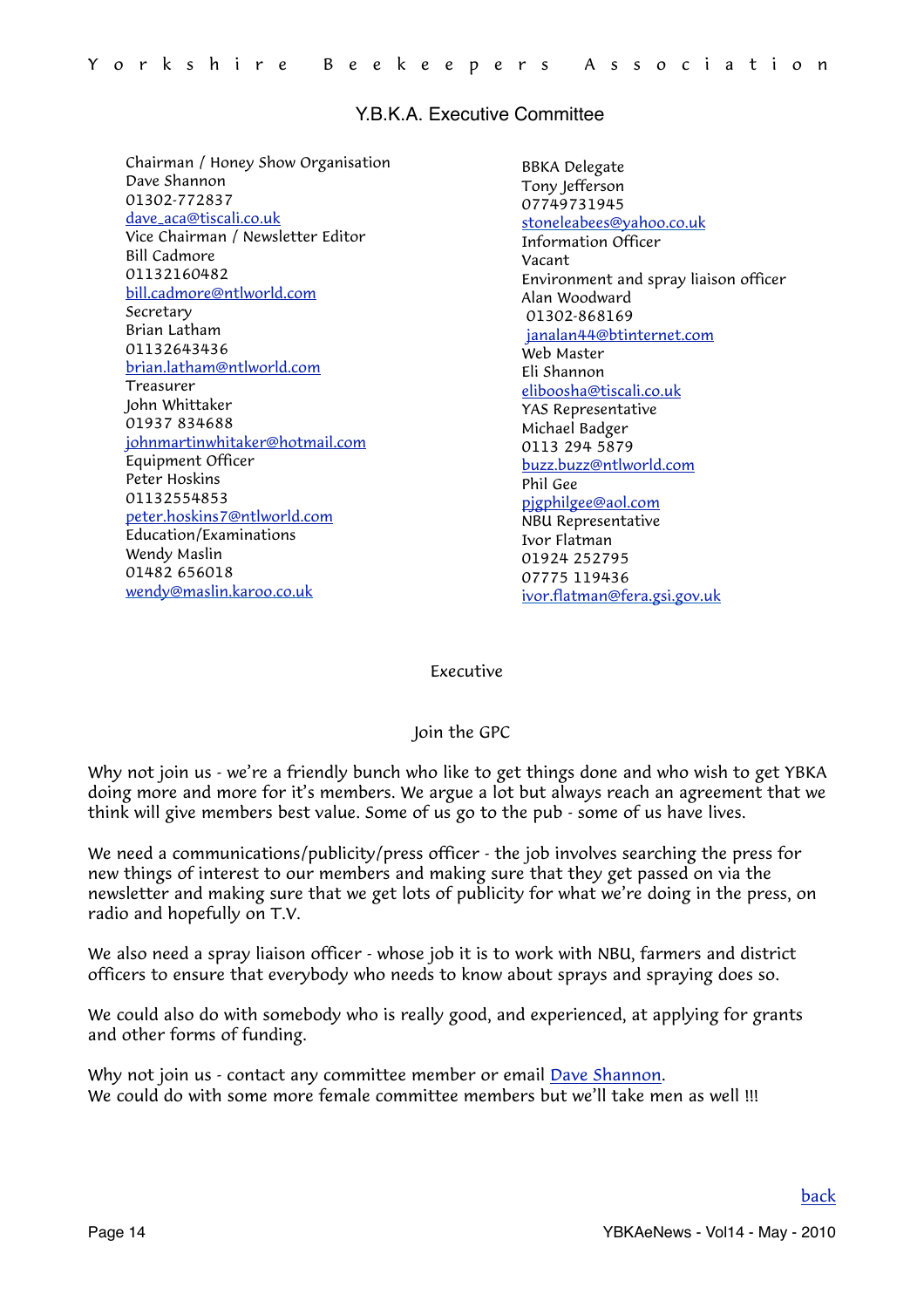#### Y.B.K.A. Executive Committee

Chairman / Honey Show Organisation Dave Shannon 01302-772837 [dave\\_aca@tiscali.co.uk](mailto:dave_aca@tiscali.co.uk?subject=GPC) Vice Chairman / Newsletter Editor Bill Cadmore 01132160482 [bill.cadmore@ntlworld.com](mailto:bill.cadmore@ntlworld.com) Secretary Brian Latham 01132643436 [brian.latham@ntlworld.com](mailto:brian.latham@ntlworld.com) Treasurer John Whittaker 01937 834688 [johnmartinwhitaker@hotmail.com](mailto:johnmartinwhitaker@hotmail.com) Equipment Officer Peter Hoskins 01132554853 [peter.hoskins7@ntlworld.com](mailto:peter.hoskins7@ntlworld.com) Education/Examinations Wendy Maslin 01482 656018 [wendy@maslin.karoo.co.uk](mailto:wendy@maslin.karoo.co.uk)

BBKA Delegate Tony Jefferson 07749731945 [stoneleabees@yahoo.co.uk](mailto:stoneleabees@yahoo.co.uk) Information Officer Vacant Environment and spray liaison officer Alan Woodward 01302-868169 [janalan44@btinternet.com](mailto:janalan44@btinternet.com) Web Master Eli Shannon [eliboosha@tiscali.co.uk](mailto:eliboosha@tiscali.co.uk) YAS Representative Michael Badger 0113 294 5879 [buzz.buzz@ntlworld.com](mailto:buzz.buzz@ntlworld.com) Phil Gee [pjgphilgee@aol.com](mailto:pjgphilgee@aol.com) NBU Representative Ivor Flatman 01924 252795 07775 119436 [ivor.flatman@fera.gsi.gov.uk](mailto:ivor.flatman@fera.gsi.gov.uk)

#### <span id="page-13-0"></span>Executive

#### Join the GPC

Why not join us - we're a friendly bunch who like to get things done and who wish to get YBKA doing more and more for it's members. We argue a lot but always reach an agreement that we think will give members best value. Some of us go to the pub - some of us have lives.

We need a communications/publicity/press officer - the job involves searching the press for new things of interest to our members and making sure that they get passed on via the newsletter and making sure that we get lots of publicity for what we're doing in the press, on radio and hopefully on T.V.

We also need a spray liaison officer - whose job it is to work with NBU, farmers and district officers to ensure that everybody who needs to know about sprays and spraying does so.

We could also do with somebody who is really good, and experienced, at applying for grants and other forms of funding.

Why not join us - contact any committee member or email [Dave Shannon.](mailto:dave_aca@tiscali.co.uk?subject=GPC%20Membership) We could do with some more female committee members but we'll take men as well !!!